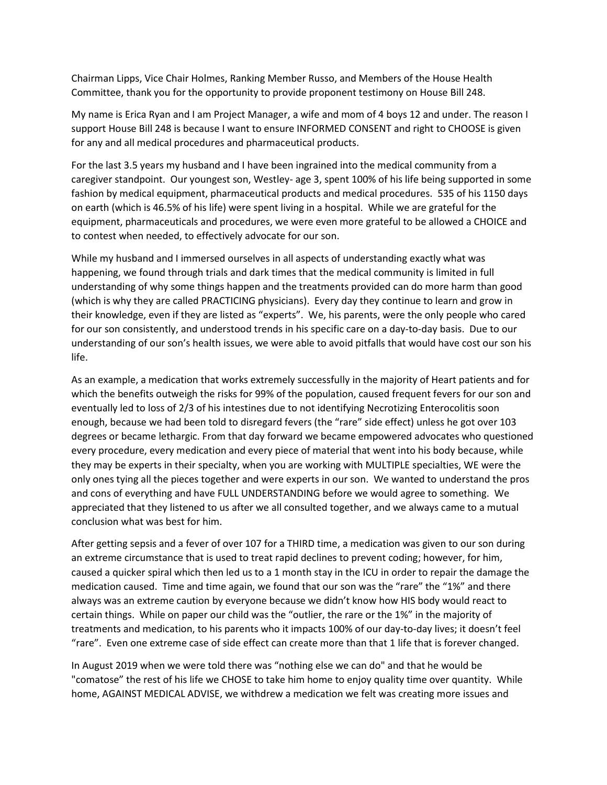Chairman Lipps, Vice Chair Holmes, Ranking Member Russo, and Members of the House Health Committee, thank you for the opportunity to provide proponent testimony on House Bill 248.

My name is Erica Ryan and I am Project Manager, a wife and mom of 4 boys 12 and under. The reason I support House Bill 248 is because I want to ensure INFORMED CONSENT and right to CHOOSE is given for any and all medical procedures and pharmaceutical products.

For the last 3.5 years my husband and I have been ingrained into the medical community from a caregiver standpoint. Our youngest son, Westley- age 3, spent 100% of his life being supported in some fashion by medical equipment, pharmaceutical products and medical procedures. 535 of his 1150 days on earth (which is 46.5% of his life) were spent living in a hospital. While we are grateful for the equipment, pharmaceuticals and procedures, we were even more grateful to be allowed a CHOICE and to contest when needed, to effectively advocate for our son.

While my husband and I immersed ourselves in all aspects of understanding exactly what was happening, we found through trials and dark times that the medical community is limited in full understanding of why some things happen and the treatments provided can do more harm than good (which is why they are called PRACTICING physicians). Every day they continue to learn and grow in their knowledge, even if they are listed as "experts". We, his parents, were the only people who cared for our son consistently, and understood trends in his specific care on a day-to-day basis. Due to our understanding of our son's health issues, we were able to avoid pitfalls that would have cost our son his life.

As an example, a medication that works extremely successfully in the majority of Heart patients and for which the benefits outweigh the risks for 99% of the population, caused frequent fevers for our son and eventually led to loss of 2/3 of his intestines due to not identifying Necrotizing Enterocolitis soon enough, because we had been told to disregard fevers (the "rare" side effect) unless he got over 103 degrees or became lethargic. From that day forward we became empowered advocates who questioned every procedure, every medication and every piece of material that went into his body because, while they may be experts in their specialty, when you are working with MULTIPLE specialties, WE were the only ones tying all the pieces together and were experts in our son. We wanted to understand the pros and cons of everything and have FULL UNDERSTANDING before we would agree to something. We appreciated that they listened to us after we all consulted together, and we always came to a mutual conclusion what was best for him.

After getting sepsis and a fever of over 107 for a THIRD time, a medication was given to our son during an extreme circumstance that is used to treat rapid declines to prevent coding; however, for him, caused a quicker spiral which then led us to a 1 month stay in the ICU in order to repair the damage the medication caused. Time and time again, we found that our son was the "rare" the "1%" and there always was an extreme caution by everyone because we didn't know how HIS body would react to certain things. While on paper our child was the "outlier, the rare or the 1%" in the majority of treatments and medication, to his parents who it impacts 100% of our day-to-day lives; it doesn't feel "rare". Even one extreme case of side effect can create more than that 1 life that is forever changed.

In August 2019 when we were told there was "nothing else we can do" and that he would be "comatose" the rest of his life we CHOSE to take him home to enjoy quality time over quantity. While home, AGAINST MEDICAL ADVISE, we withdrew a medication we felt was creating more issues and